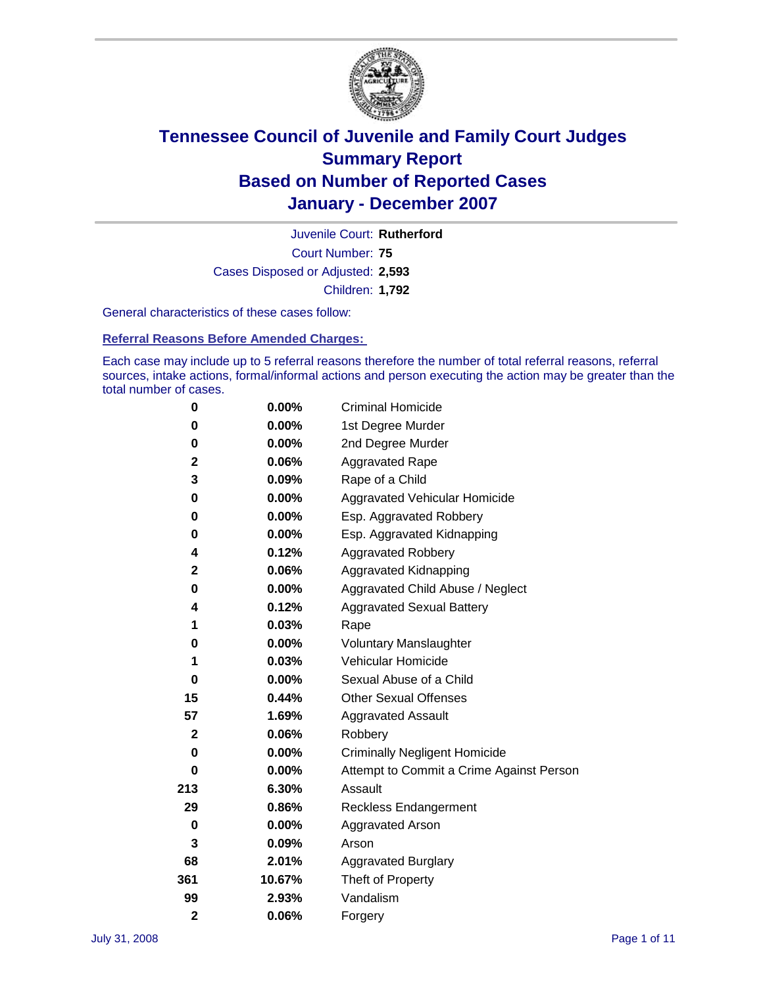

Court Number: **75** Juvenile Court: **Rutherford** Cases Disposed or Adjusted: **2,593** Children: **1,792**

General characteristics of these cases follow:

**Referral Reasons Before Amended Charges:** 

Each case may include up to 5 referral reasons therefore the number of total referral reasons, referral sources, intake actions, formal/informal actions and person executing the action may be greater than the total number of cases.

| 0            | 0.00%    | <b>Criminal Homicide</b>                 |  |  |  |
|--------------|----------|------------------------------------------|--|--|--|
| 0            | 0.00%    | 1st Degree Murder                        |  |  |  |
| 0            | 0.00%    | 2nd Degree Murder                        |  |  |  |
| $\mathbf 2$  | 0.06%    | <b>Aggravated Rape</b>                   |  |  |  |
| 3            | 0.09%    | Rape of a Child                          |  |  |  |
| 0            | 0.00%    | Aggravated Vehicular Homicide            |  |  |  |
| 0            | 0.00%    | Esp. Aggravated Robbery                  |  |  |  |
| 0            | 0.00%    | Esp. Aggravated Kidnapping               |  |  |  |
| 4            | 0.12%    | <b>Aggravated Robbery</b>                |  |  |  |
| 2            | 0.06%    | Aggravated Kidnapping                    |  |  |  |
| 0            | $0.00\%$ | Aggravated Child Abuse / Neglect         |  |  |  |
| 4            | 0.12%    | <b>Aggravated Sexual Battery</b>         |  |  |  |
| 1            | 0.03%    | Rape                                     |  |  |  |
| 0            | 0.00%    | <b>Voluntary Manslaughter</b>            |  |  |  |
| 1            | 0.03%    | Vehicular Homicide                       |  |  |  |
| 0            | 0.00%    | Sexual Abuse of a Child                  |  |  |  |
| 15           | 0.44%    | <b>Other Sexual Offenses</b>             |  |  |  |
| 57           | 1.69%    | <b>Aggravated Assault</b>                |  |  |  |
| $\mathbf{2}$ | 0.06%    | Robbery                                  |  |  |  |
| 0            | 0.00%    | <b>Criminally Negligent Homicide</b>     |  |  |  |
| 0            | $0.00\%$ | Attempt to Commit a Crime Against Person |  |  |  |
| 213          | 6.30%    | Assault                                  |  |  |  |
| 29           | 0.86%    | <b>Reckless Endangerment</b>             |  |  |  |
| 0            | 0.00%    | <b>Aggravated Arson</b>                  |  |  |  |
| 3            | 0.09%    | Arson                                    |  |  |  |
| 68           | 2.01%    | Aggravated Burglary                      |  |  |  |
| 361          | 10.67%   | Theft of Property                        |  |  |  |
| 99           | 2.93%    | Vandalism                                |  |  |  |
| $\mathbf 2$  | 0.06%    | Forgery                                  |  |  |  |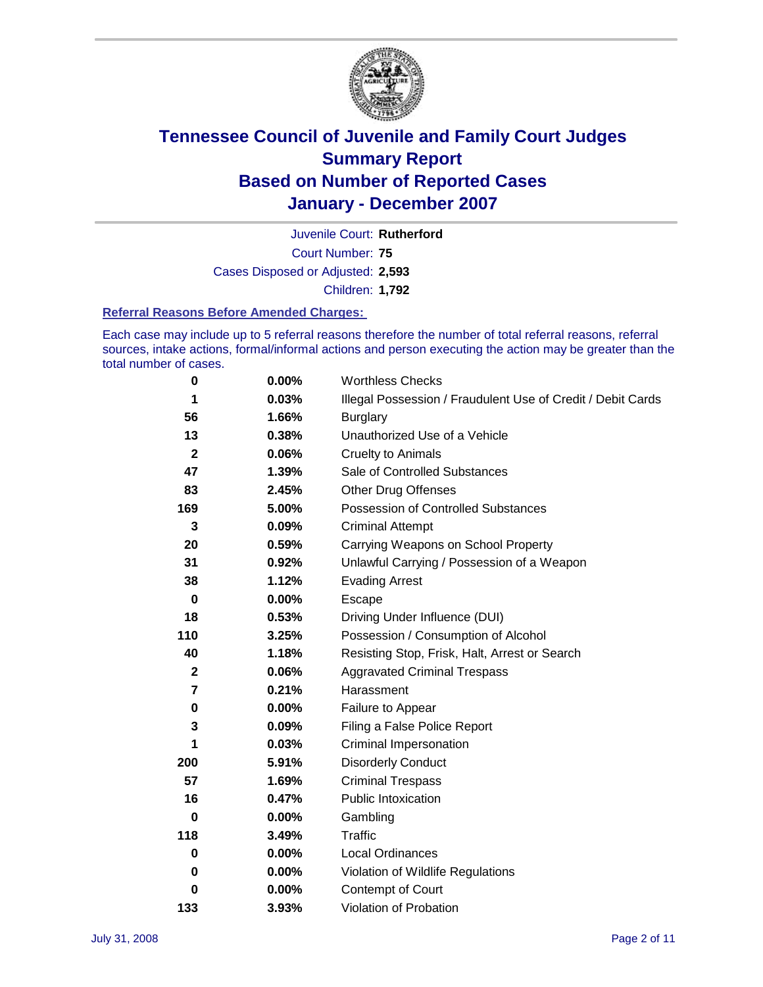

Court Number: **75** Juvenile Court: **Rutherford** Cases Disposed or Adjusted: **2,593** Children: **1,792**

#### **Referral Reasons Before Amended Charges:**

Each case may include up to 5 referral reasons therefore the number of total referral reasons, referral sources, intake actions, formal/informal actions and person executing the action may be greater than the total number of cases.

| 0            | 0.00% | <b>Worthless Checks</b>                                     |  |  |
|--------------|-------|-------------------------------------------------------------|--|--|
| 1            | 0.03% | Illegal Possession / Fraudulent Use of Credit / Debit Cards |  |  |
| 56           | 1.66% | <b>Burglary</b>                                             |  |  |
| 13           | 0.38% | Unauthorized Use of a Vehicle                               |  |  |
| $\mathbf{2}$ | 0.06% | <b>Cruelty to Animals</b>                                   |  |  |
| 47           | 1.39% | Sale of Controlled Substances                               |  |  |
| 83           | 2.45% | <b>Other Drug Offenses</b>                                  |  |  |
| 169          | 5.00% | Possession of Controlled Substances                         |  |  |
| 3            | 0.09% | <b>Criminal Attempt</b>                                     |  |  |
| 20           | 0.59% | Carrying Weapons on School Property                         |  |  |
| 31           | 0.92% | Unlawful Carrying / Possession of a Weapon                  |  |  |
| 38           | 1.12% | <b>Evading Arrest</b>                                       |  |  |
| 0            | 0.00% | Escape                                                      |  |  |
| 18           | 0.53% | Driving Under Influence (DUI)                               |  |  |
| 110          | 3.25% | Possession / Consumption of Alcohol                         |  |  |
| 40           | 1.18% | Resisting Stop, Frisk, Halt, Arrest or Search               |  |  |
| $\mathbf{2}$ | 0.06% | <b>Aggravated Criminal Trespass</b>                         |  |  |
| 7            | 0.21% | Harassment                                                  |  |  |
| 0            | 0.00% | Failure to Appear                                           |  |  |
| 3            | 0.09% | Filing a False Police Report                                |  |  |
| 1            | 0.03% | Criminal Impersonation                                      |  |  |
| 200          | 5.91% | <b>Disorderly Conduct</b>                                   |  |  |
| 57           | 1.69% | <b>Criminal Trespass</b>                                    |  |  |
| 16           | 0.47% | <b>Public Intoxication</b>                                  |  |  |
| 0            | 0.00% | Gambling                                                    |  |  |
| 118          | 3.49% | <b>Traffic</b>                                              |  |  |
| 0            | 0.00% | Local Ordinances                                            |  |  |
| 0            | 0.00% | Violation of Wildlife Regulations                           |  |  |
| 0            | 0.00% | Contempt of Court                                           |  |  |
| 133          | 3.93% | Violation of Probation                                      |  |  |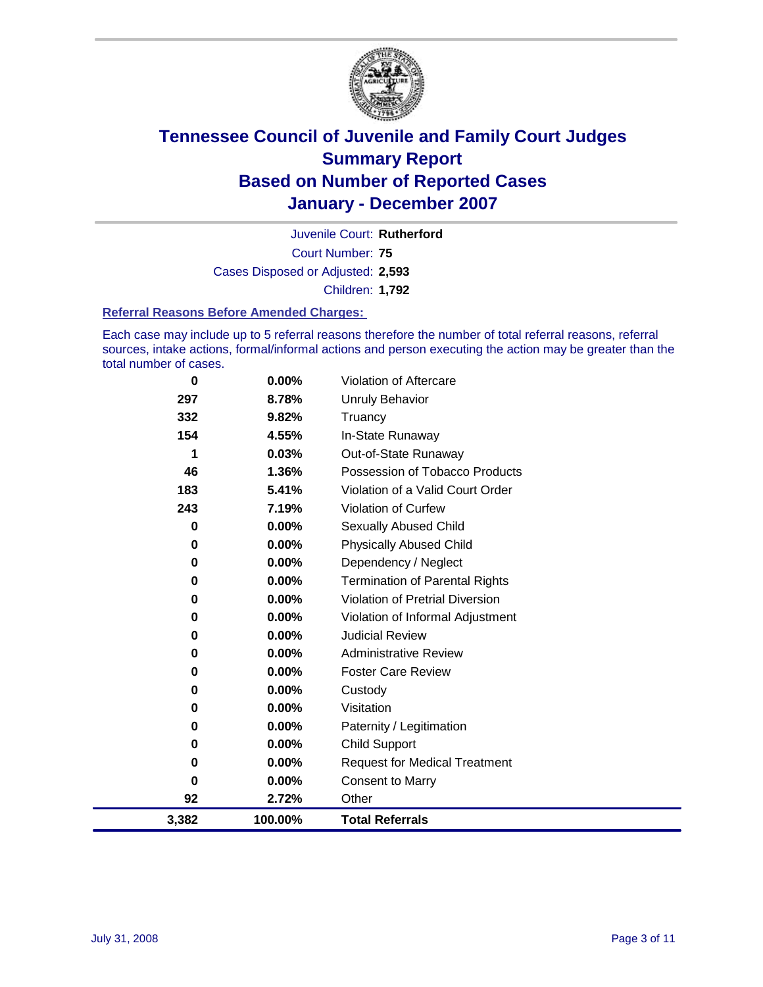

Court Number: **75** Juvenile Court: **Rutherford** Cases Disposed or Adjusted: **2,593** Children: **1,792**

#### **Referral Reasons Before Amended Charges:**

Each case may include up to 5 referral reasons therefore the number of total referral reasons, referral sources, intake actions, formal/informal actions and person executing the action may be greater than the total number of cases.

| 0        | 0.00%    | Violation of Aftercare                |
|----------|----------|---------------------------------------|
| 297      | 8.78%    | <b>Unruly Behavior</b>                |
| 332      | 9.82%    | Truancy                               |
| 154      | 4.55%    | In-State Runaway                      |
| 1        | 0.03%    | Out-of-State Runaway                  |
| 46       | 1.36%    | Possession of Tobacco Products        |
| 183      | 5.41%    | Violation of a Valid Court Order      |
| 243      | 7.19%    | <b>Violation of Curfew</b>            |
| 0        | 0.00%    | <b>Sexually Abused Child</b>          |
| 0        | 0.00%    | <b>Physically Abused Child</b>        |
| 0        | 0.00%    | Dependency / Neglect                  |
| $\bf{0}$ | 0.00%    | <b>Termination of Parental Rights</b> |
| 0        | 0.00%    | Violation of Pretrial Diversion       |
| 0        | 0.00%    | Violation of Informal Adjustment      |
| 0        | 0.00%    | <b>Judicial Review</b>                |
| $\bf{0}$ | 0.00%    | <b>Administrative Review</b>          |
| 0        | 0.00%    | <b>Foster Care Review</b>             |
| 0        | 0.00%    | Custody                               |
| 0        | 0.00%    | Visitation                            |
| 0        | 0.00%    | Paternity / Legitimation              |
| 0        | $0.00\%$ | <b>Child Support</b>                  |
| 0        | $0.00\%$ | <b>Request for Medical Treatment</b>  |
| 0        | 0.00%    | <b>Consent to Marry</b>               |
| 92       | 2.72%    | Other                                 |
| 3,382    | 100.00%  | <b>Total Referrals</b>                |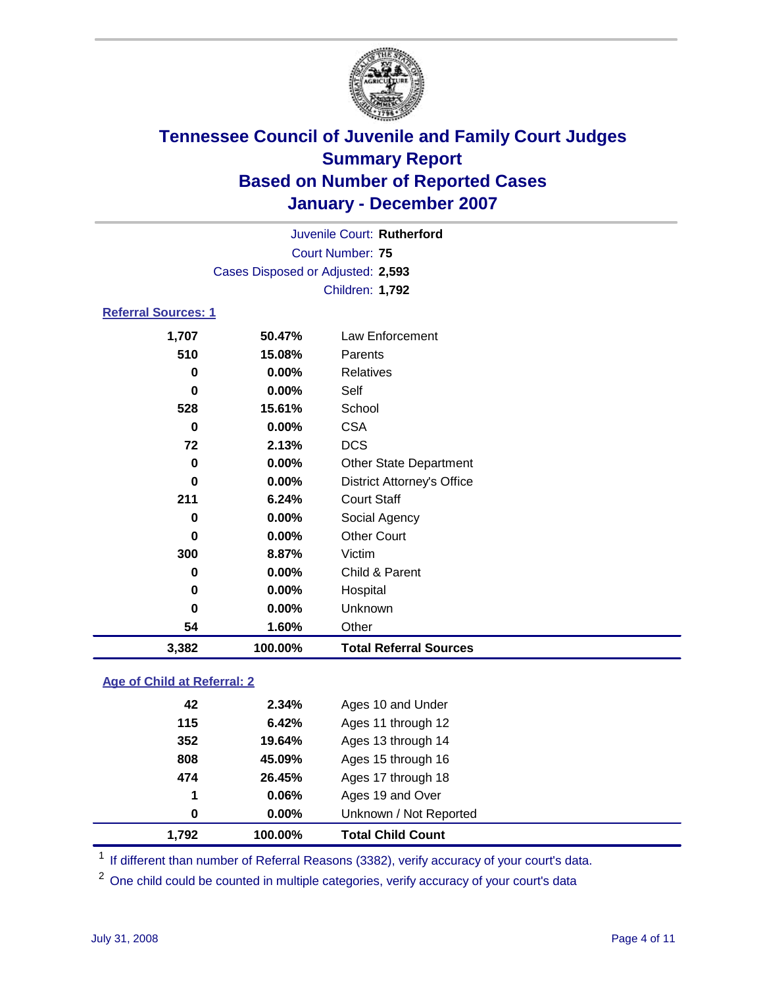

Court Number: **75** Juvenile Court: **Rutherford** Cases Disposed or Adjusted: **2,593** Children: **1,792**

### **Referral Sources: 1**

| 1,707    | 50.47%   | Law Enforcement                   |
|----------|----------|-----------------------------------|
| 510      | 15.08%   | Parents                           |
| 0        | 0.00%    | Relatives                         |
| $\bf{0}$ | 0.00%    | Self                              |
| 528      | 15.61%   | School                            |
| 0        | 0.00%    | <b>CSA</b>                        |
| 72       | 2.13%    | <b>DCS</b>                        |
| 0        | 0.00%    | <b>Other State Department</b>     |
| 0        | $0.00\%$ | <b>District Attorney's Office</b> |
| 211      | 6.24%    | <b>Court Staff</b>                |
| 0        | $0.00\%$ | Social Agency                     |
| 0        | 0.00%    | <b>Other Court</b>                |
| 300      | 8.87%    | Victim                            |
| 0        | 0.00%    | Child & Parent                    |
| 0        | 0.00%    | Hospital                          |
| $\bf{0}$ | 0.00%    | Unknown                           |
| 54       | 1.60%    | Other                             |
| 3,382    | 100.00%  | <b>Total Referral Sources</b>     |

### **Age of Child at Referral: 2**

| 1,792 | 100.00%  | <b>Total Child Count</b> |
|-------|----------|--------------------------|
| 0     | $0.00\%$ | Unknown / Not Reported   |
| 1     | 0.06%    | Ages 19 and Over         |
| 474   | 26.45%   | Ages 17 through 18       |
| 808   | 45.09%   | Ages 15 through 16       |
| 352   | 19.64%   | Ages 13 through 14       |
| 115   | 6.42%    | Ages 11 through 12       |
| 42    | 2.34%    | Ages 10 and Under        |
|       |          |                          |

<sup>1</sup> If different than number of Referral Reasons (3382), verify accuracy of your court's data.

<sup>2</sup> One child could be counted in multiple categories, verify accuracy of your court's data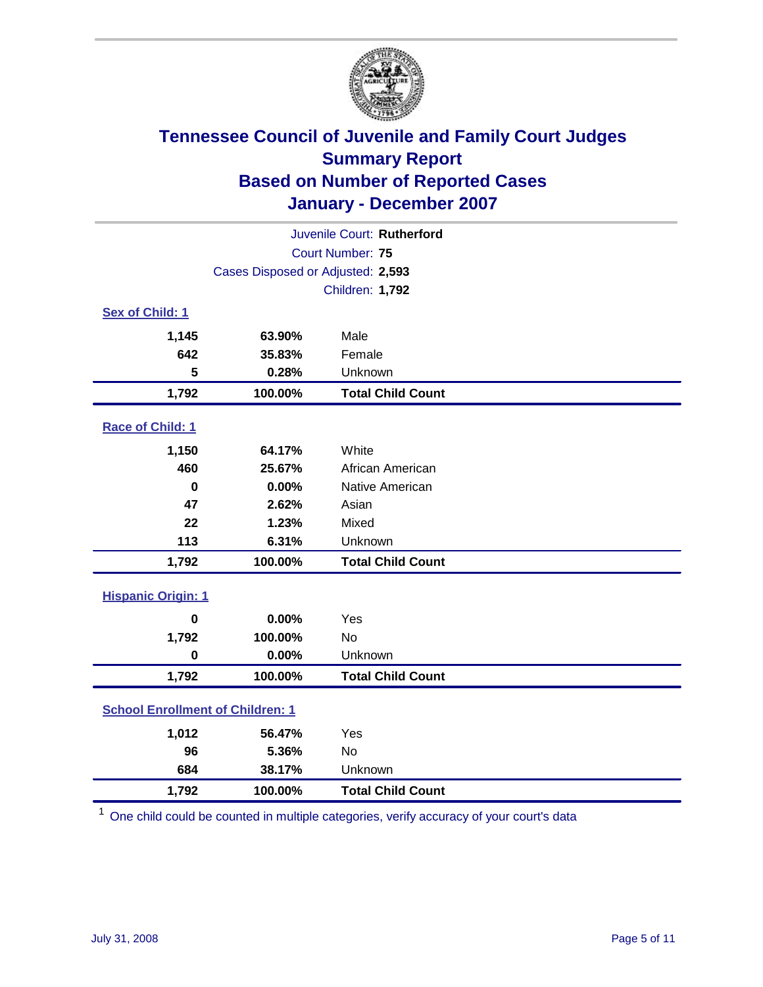

| Juvenile Court: Rutherford              |                                   |                          |  |  |  |
|-----------------------------------------|-----------------------------------|--------------------------|--|--|--|
|                                         | Court Number: 75                  |                          |  |  |  |
|                                         | Cases Disposed or Adjusted: 2,593 |                          |  |  |  |
|                                         |                                   | <b>Children: 1,792</b>   |  |  |  |
| Sex of Child: 1                         |                                   |                          |  |  |  |
| 1,145                                   | 63.90%                            | Male                     |  |  |  |
| 642                                     | 35.83%                            | Female                   |  |  |  |
| 5                                       | 0.28%                             | Unknown                  |  |  |  |
| 1,792                                   | 100.00%                           | <b>Total Child Count</b> |  |  |  |
| Race of Child: 1                        |                                   |                          |  |  |  |
| 1,150                                   | 64.17%                            | White                    |  |  |  |
| 460                                     | 25.67%                            | African American         |  |  |  |
| $\mathbf 0$                             | 0.00%                             | Native American          |  |  |  |
| 47                                      | 2.62%                             | Asian                    |  |  |  |
| 22                                      | 1.23%                             | Mixed                    |  |  |  |
| 113                                     | 6.31%                             | Unknown                  |  |  |  |
| 1,792                                   | 100.00%                           | <b>Total Child Count</b> |  |  |  |
| <b>Hispanic Origin: 1</b>               |                                   |                          |  |  |  |
| $\mathbf 0$                             | 0.00%                             | Yes                      |  |  |  |
| 1,792                                   | 100.00%                           | <b>No</b>                |  |  |  |
| $\mathbf 0$                             | 0.00%                             | Unknown                  |  |  |  |
| 1,792                                   | 100.00%                           | <b>Total Child Count</b> |  |  |  |
| <b>School Enrollment of Children: 1</b> |                                   |                          |  |  |  |
| 1,012                                   | 56.47%                            | Yes                      |  |  |  |
| 96                                      | 5.36%                             | No                       |  |  |  |
| 684                                     | 38.17%                            | Unknown                  |  |  |  |
| 1,792                                   | 100.00%                           | <b>Total Child Count</b> |  |  |  |

<sup>1</sup> One child could be counted in multiple categories, verify accuracy of your court's data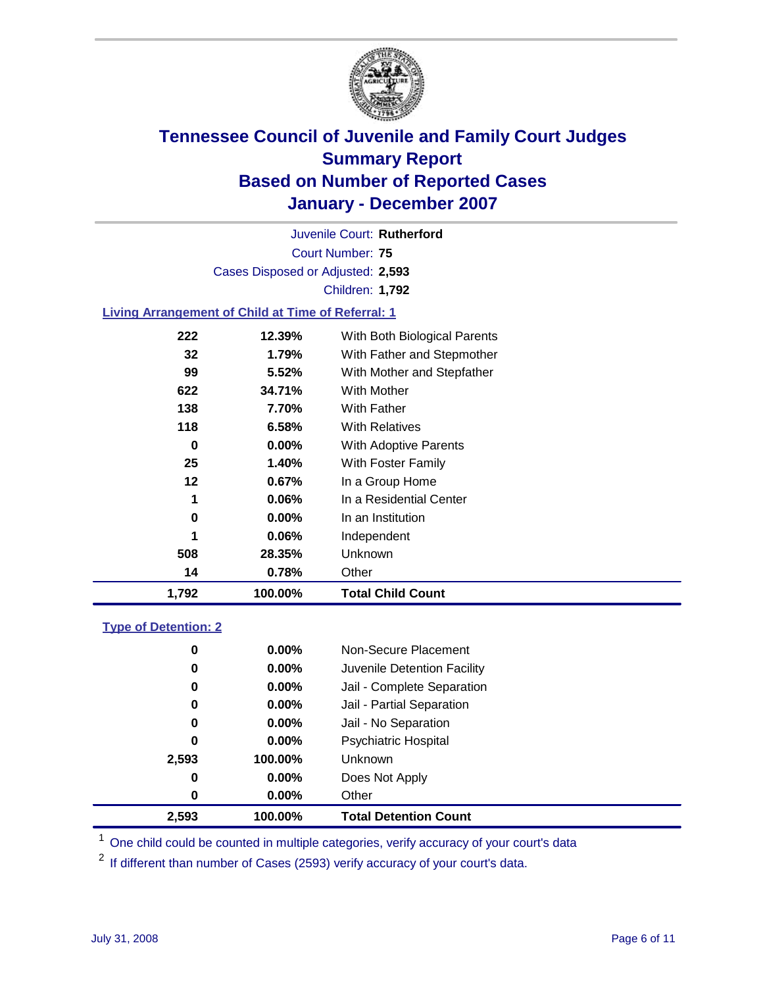

Court Number: **75** Juvenile Court: **Rutherford** Cases Disposed or Adjusted: **2,593** Children: **1,792**

### **Living Arrangement of Child at Time of Referral: 1**

| 1,792 | 100.00%  | <b>Total Child Count</b>     |
|-------|----------|------------------------------|
| 14    | 0.78%    | Other                        |
| 508   | 28.35%   | Unknown                      |
| 1     | $0.06\%$ | Independent                  |
| 0     | $0.00\%$ | In an Institution            |
| 1     | $0.06\%$ | In a Residential Center      |
| 12    | 0.67%    | In a Group Home              |
| 25    | 1.40%    | With Foster Family           |
| 0     | 0.00%    | <b>With Adoptive Parents</b> |
| 118   | 6.58%    | <b>With Relatives</b>        |
| 138   | 7.70%    | With Father                  |
| 622   | 34.71%   | With Mother                  |
| 99    | 5.52%    | With Mother and Stepfather   |
| 32    | 1.79%    | With Father and Stepmother   |
| 222   | 12.39%   | With Both Biological Parents |

#### **Type of Detention: 2**

| 2,593 | 100.00%  | <b>Total Detention Count</b> |
|-------|----------|------------------------------|
| 0     | $0.00\%$ | Other                        |
| 0     | 0.00%    | Does Not Apply               |
| 2,593 | 100.00%  | <b>Unknown</b>               |
| 0     | 0.00%    | <b>Psychiatric Hospital</b>  |
| 0     | 0.00%    | Jail - No Separation         |
| 0     | $0.00\%$ | Jail - Partial Separation    |
| 0     | 0.00%    | Jail - Complete Separation   |
| 0     | 0.00%    | Juvenile Detention Facility  |
| 0     | $0.00\%$ | Non-Secure Placement         |
|       |          |                              |

<sup>1</sup> One child could be counted in multiple categories, verify accuracy of your court's data

<sup>2</sup> If different than number of Cases (2593) verify accuracy of your court's data.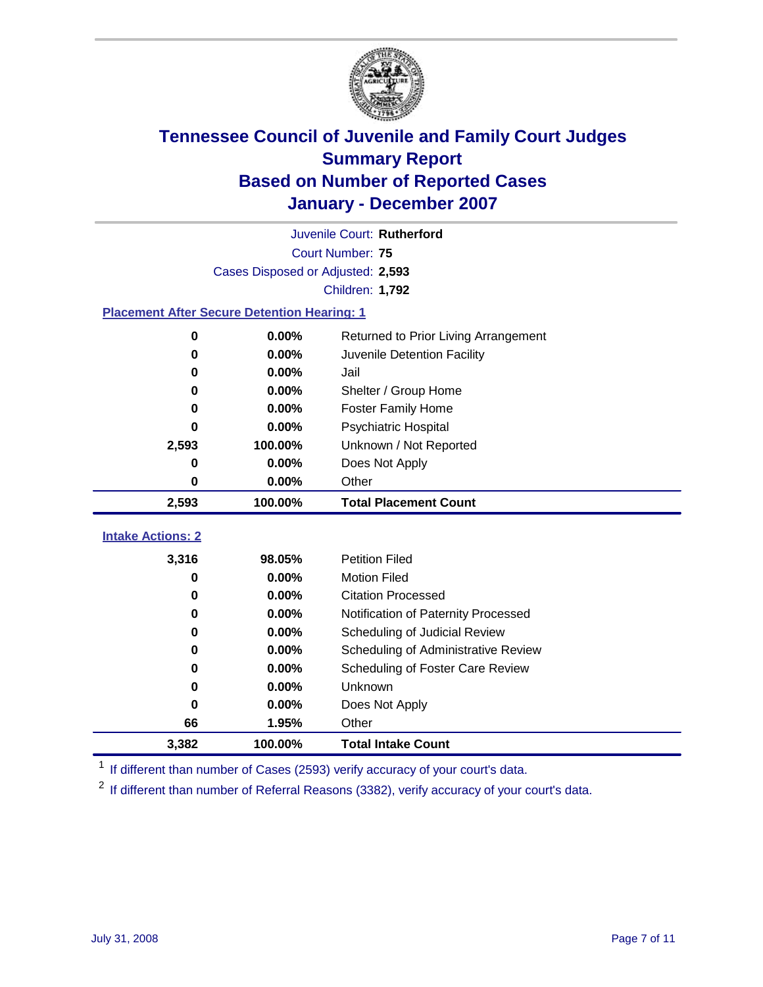

|                                                    | Juvenile Court: Rutherford        |                                      |  |  |  |  |
|----------------------------------------------------|-----------------------------------|--------------------------------------|--|--|--|--|
|                                                    | Court Number: 75                  |                                      |  |  |  |  |
|                                                    | Cases Disposed or Adjusted: 2,593 |                                      |  |  |  |  |
|                                                    | Children: 1,792                   |                                      |  |  |  |  |
| <b>Placement After Secure Detention Hearing: 1</b> |                                   |                                      |  |  |  |  |
| 0                                                  | 0.00%                             | Returned to Prior Living Arrangement |  |  |  |  |
| $\bf{0}$                                           | 0.00%                             | Juvenile Detention Facility          |  |  |  |  |
| 0                                                  | 0.00%                             | Jail                                 |  |  |  |  |
| $\bf{0}$                                           | 0.00%                             | Shelter / Group Home                 |  |  |  |  |
| 0                                                  | 0.00%                             | <b>Foster Family Home</b>            |  |  |  |  |
| 0                                                  | 0.00%                             | Psychiatric Hospital                 |  |  |  |  |
| 2,593                                              | 100.00%                           | Unknown / Not Reported               |  |  |  |  |
| 0                                                  | 0.00%                             | Does Not Apply                       |  |  |  |  |
| 0                                                  | 0.00%                             | Other                                |  |  |  |  |
| 2,593                                              | 100.00%                           | <b>Total Placement Count</b>         |  |  |  |  |
|                                                    |                                   |                                      |  |  |  |  |
| <b>Intake Actions: 2</b>                           |                                   |                                      |  |  |  |  |
| 3,316                                              | 98.05%                            | <b>Petition Filed</b>                |  |  |  |  |
| 0                                                  | 0.00%                             | <b>Motion Filed</b>                  |  |  |  |  |
| 0                                                  | 0.00%                             | <b>Citation Processed</b>            |  |  |  |  |
| 0                                                  | 0.00%                             | Notification of Paternity Processed  |  |  |  |  |
| $\bf{0}$                                           | 0.00%                             | Scheduling of Judicial Review        |  |  |  |  |
| 0                                                  | 0.00%                             | Scheduling of Administrative Review  |  |  |  |  |
| 0                                                  | 0.00%                             | Scheduling of Foster Care Review     |  |  |  |  |
| $\bf{0}$                                           | 0.00%                             | Unknown                              |  |  |  |  |
| 0                                                  | 0.00%                             | Does Not Apply                       |  |  |  |  |
| 66                                                 | 1.95%                             | Other                                |  |  |  |  |
| 3,382                                              | 100.00%                           | <b>Total Intake Count</b>            |  |  |  |  |

<sup>1</sup> If different than number of Cases (2593) verify accuracy of your court's data.

<sup>2</sup> If different than number of Referral Reasons (3382), verify accuracy of your court's data.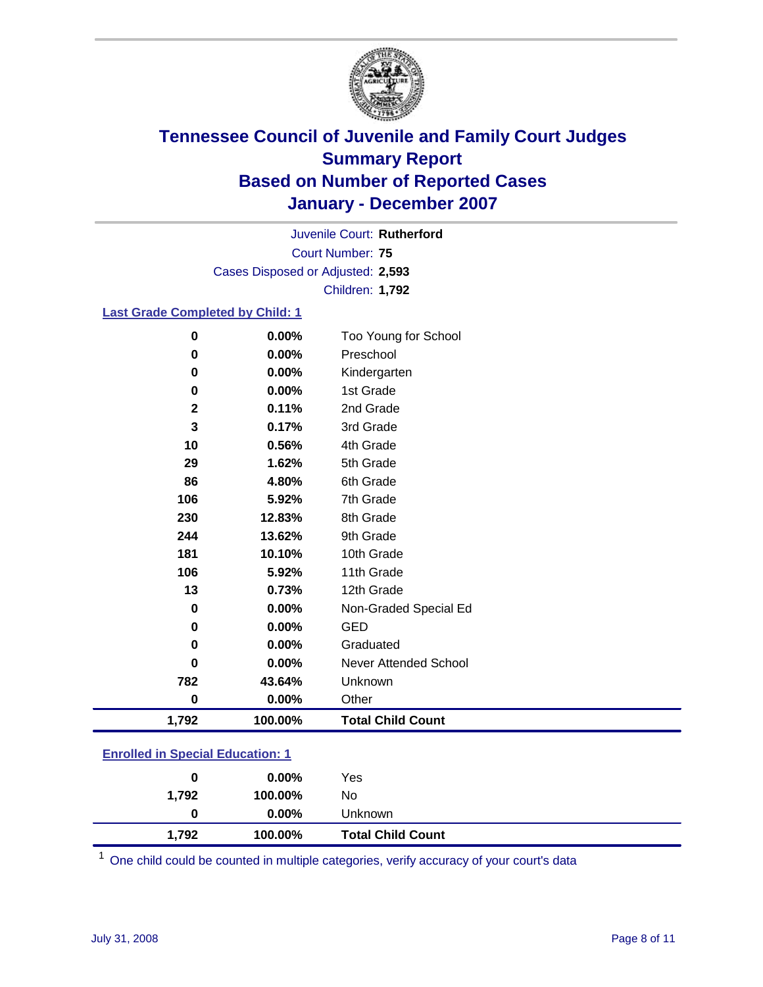

Court Number: **75** Juvenile Court: **Rutherford** Cases Disposed or Adjusted: **2,593** Children: **1,792**

### **Last Grade Completed by Child: 1**

| 0           | 0.00%   | Too Young for School         |
|-------------|---------|------------------------------|
| 0           | 0.00%   | Preschool                    |
| 0           | 0.00%   | Kindergarten                 |
| $\bf{0}$    | 0.00%   | 1st Grade                    |
| $\mathbf 2$ | 0.11%   | 2nd Grade                    |
| 3           | 0.17%   | 3rd Grade                    |
| 10          | 0.56%   | 4th Grade                    |
| 29          | 1.62%   | 5th Grade                    |
| 86          | 4.80%   | 6th Grade                    |
| 106         | 5.92%   | 7th Grade                    |
| 230         | 12.83%  | 8th Grade                    |
| 244         | 13.62%  | 9th Grade                    |
| 181         | 10.10%  | 10th Grade                   |
| 106         | 5.92%   | 11th Grade                   |
| 13          | 0.73%   | 12th Grade                   |
| 0           | 0.00%   | Non-Graded Special Ed        |
| $\bf{0}$    | 0.00%   | <b>GED</b>                   |
| 0           | 0.00%   | Graduated                    |
| 0           | 0.00%   | <b>Never Attended School</b> |
| 782         | 43.64%  | Unknown                      |
| 0           | 0.00%   | Other                        |
| 1,792       | 100.00% | <b>Total Child Count</b>     |

### **Enrolled in Special Education: 1**

| 0     | $0.00\%$ | Yes                      |
|-------|----------|--------------------------|
| 1,792 | 100.00%  | No                       |
| 0     | $0.00\%$ | Unknown                  |
| 1.792 | 100.00%  | <b>Total Child Count</b> |

One child could be counted in multiple categories, verify accuracy of your court's data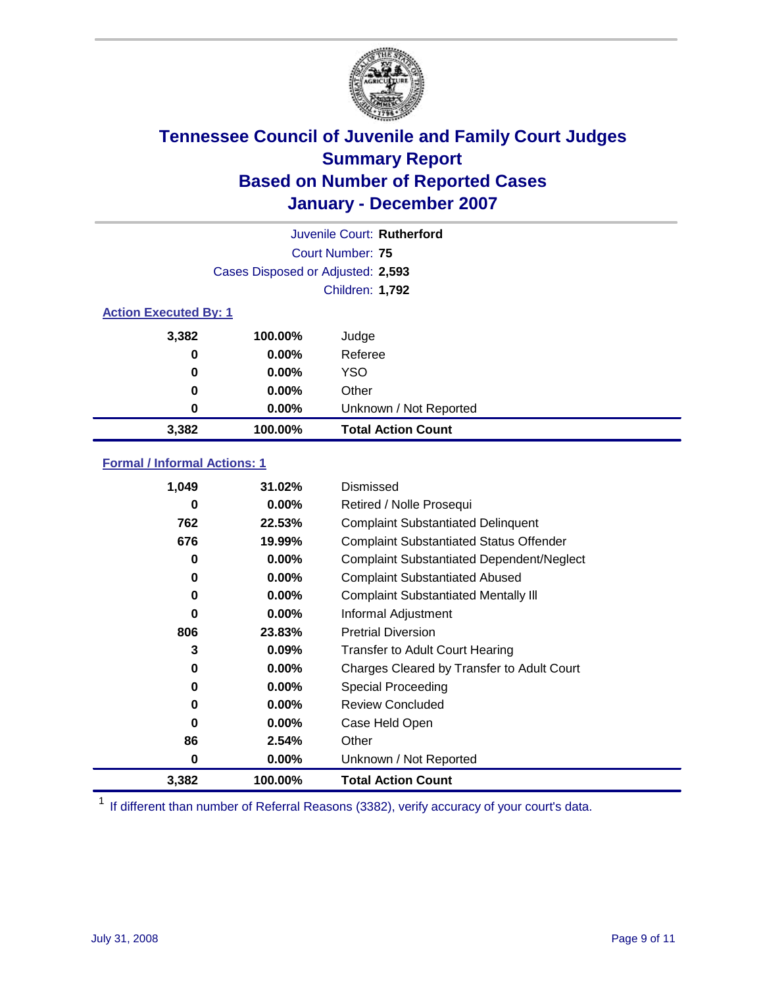

| Juvenile Court: Rutherford   |                                   |                           |  |  |  |
|------------------------------|-----------------------------------|---------------------------|--|--|--|
|                              | Court Number: 75                  |                           |  |  |  |
|                              | Cases Disposed or Adjusted: 2,593 |                           |  |  |  |
|                              | <b>Children: 1,792</b>            |                           |  |  |  |
| <b>Action Executed By: 1</b> |                                   |                           |  |  |  |
| 3,382                        | 100.00%                           | Judge                     |  |  |  |
| 0                            | $0.00\%$                          | Referee                   |  |  |  |
| 0                            | $0.00\%$                          | <b>YSO</b>                |  |  |  |
| 0                            | $0.00\%$                          | Other                     |  |  |  |
| 0                            | 0.00%                             | Unknown / Not Reported    |  |  |  |
| 3,382                        | 100.00%                           | <b>Total Action Count</b> |  |  |  |

### **Formal / Informal Actions: 1**

| 1,049 | 31.02%   | Dismissed                                        |
|-------|----------|--------------------------------------------------|
| 0     | $0.00\%$ | Retired / Nolle Prosequi                         |
| 762   | 22.53%   | <b>Complaint Substantiated Delinquent</b>        |
| 676   | 19.99%   | <b>Complaint Substantiated Status Offender</b>   |
| 0     | $0.00\%$ | <b>Complaint Substantiated Dependent/Neglect</b> |
| 0     | $0.00\%$ | <b>Complaint Substantiated Abused</b>            |
| 0     | $0.00\%$ | <b>Complaint Substantiated Mentally III</b>      |
| 0     | $0.00\%$ | Informal Adjustment                              |
| 806   | 23.83%   | <b>Pretrial Diversion</b>                        |
| 3     | 0.09%    | <b>Transfer to Adult Court Hearing</b>           |
| 0     | $0.00\%$ | Charges Cleared by Transfer to Adult Court       |
| 0     | $0.00\%$ | Special Proceeding                               |
| 0     | $0.00\%$ | <b>Review Concluded</b>                          |
| 0     | $0.00\%$ | Case Held Open                                   |
| 86    | 2.54%    | Other                                            |
| 0     | $0.00\%$ | Unknown / Not Reported                           |
| 3,382 | 100.00%  | <b>Total Action Count</b>                        |

<sup>1</sup> If different than number of Referral Reasons (3382), verify accuracy of your court's data.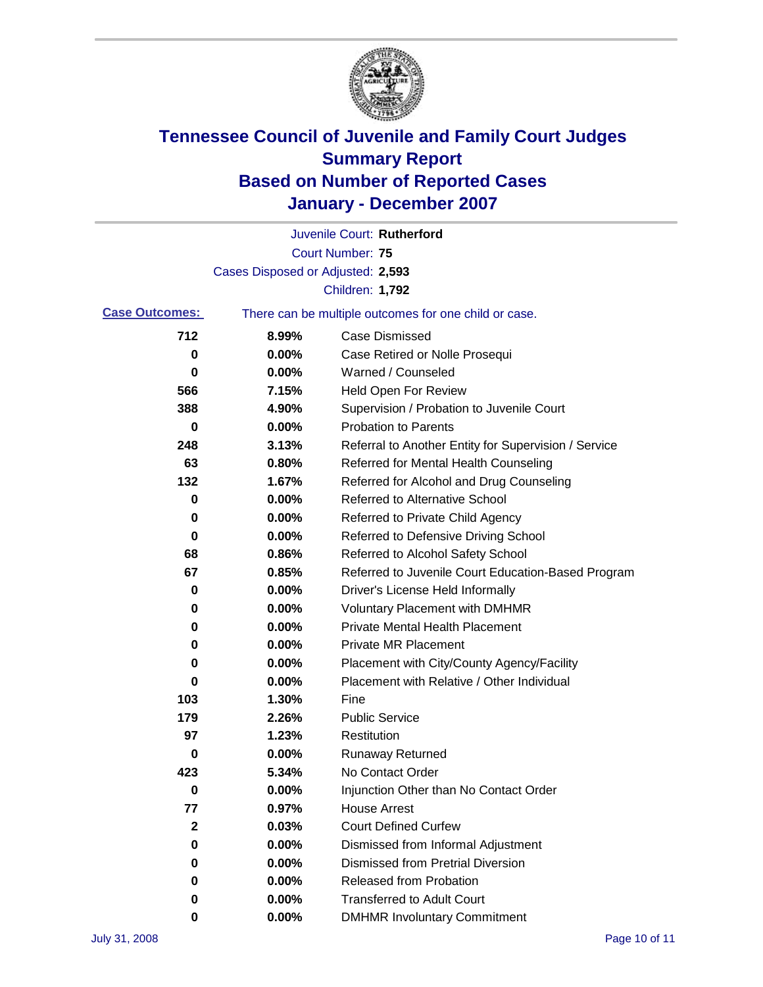

|                       |                                   | Juvenile Court: Rutherford                            |
|-----------------------|-----------------------------------|-------------------------------------------------------|
|                       |                                   | <b>Court Number: 75</b>                               |
|                       | Cases Disposed or Adjusted: 2,593 |                                                       |
|                       |                                   | Children: 1,792                                       |
| <b>Case Outcomes:</b> |                                   | There can be multiple outcomes for one child or case. |
| 712                   | 8.99%                             | <b>Case Dismissed</b>                                 |
| 0                     | 0.00%                             | Case Retired or Nolle Prosequi                        |
| 0                     | 0.00%                             | Warned / Counseled                                    |
| 566                   | 7.15%                             | Held Open For Review                                  |
| 388                   | 4.90%                             | Supervision / Probation to Juvenile Court             |
| 0                     | 0.00%                             | <b>Probation to Parents</b>                           |
| 248                   | 3.13%                             | Referral to Another Entity for Supervision / Service  |
| 63                    | 0.80%                             | Referred for Mental Health Counseling                 |
| 132                   | 1.67%                             | Referred for Alcohol and Drug Counseling              |
| 0                     | 0.00%                             | <b>Referred to Alternative School</b>                 |
| 0                     | 0.00%                             | Referred to Private Child Agency                      |
| 0                     | 0.00%                             | Referred to Defensive Driving School                  |
| 68                    | 0.86%                             | Referred to Alcohol Safety School                     |
| 67                    | 0.85%                             | Referred to Juvenile Court Education-Based Program    |
| 0                     | 0.00%                             | Driver's License Held Informally                      |
| 0                     | 0.00%                             | <b>Voluntary Placement with DMHMR</b>                 |
| 0                     | 0.00%                             | <b>Private Mental Health Placement</b>                |
| 0                     | 0.00%                             | <b>Private MR Placement</b>                           |
| 0                     | 0.00%                             | Placement with City/County Agency/Facility            |
| 0                     | 0.00%                             | Placement with Relative / Other Individual            |
| 103                   | 1.30%                             | Fine                                                  |
| 179                   | 2.26%                             | <b>Public Service</b>                                 |
| 97                    | 1.23%                             | Restitution                                           |
| 0                     | 0.00%                             | <b>Runaway Returned</b>                               |
| 423                   | 5.34%                             | No Contact Order                                      |
| 0                     | $0.00\%$                          | Injunction Other than No Contact Order                |
| 77                    | 0.97%                             | <b>House Arrest</b>                                   |
| 2                     | 0.03%                             | <b>Court Defined Curfew</b>                           |
| 0                     | 0.00%                             | Dismissed from Informal Adjustment                    |
| 0                     | 0.00%                             | <b>Dismissed from Pretrial Diversion</b>              |
| 0                     | 0.00%                             | <b>Released from Probation</b>                        |
| 0                     | 0.00%                             | <b>Transferred to Adult Court</b>                     |
| 0                     | 0.00%                             | <b>DMHMR Involuntary Commitment</b>                   |